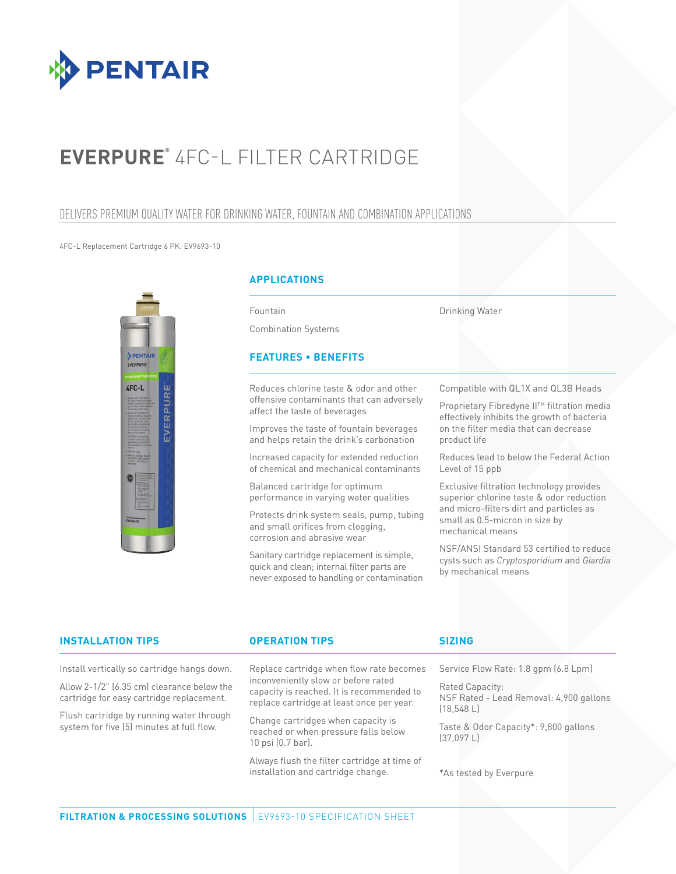

# **EVERPURE®** 4FC-L FILTER CARTRIDGE

## DELIVERS PREMIUM QUALITY WATER FOR DRINKING WATER, FOUNTAIN AND COMBINATION APPLICATIONS

#### 4FC-L Replacement Cartridge 6 PK: EV9693-10



Allow 2-1/2" (6.35 cm) clearance below the cartridge for easy cartridge replacement. Flush cartridge by running water through system for five (5) minutes at full flow.

### **APPLICATIONS**

Fountain

Combination Systems

## **FEATURES • BENEFITS**

Reduces chlorine taste & odor and other offensive contaminants that can adversely affect the taste of beverages

Improves the taste of fountain beverages and helps retain the drink's carbonation

Increased capacity for extended reduction of chemical and mechanical contaminants

Balanced cartridge for optimum performance in varying water qualities

Protects drink system seals, pump, tubing and small orifices from clogging, corrosion and abrasive wear

Sanitary cartridge replacement is simple, quick and clean; internal filter parts are never exposed to handling or contamination Compatible with QL1X and QL3B Heads

Drinking Water

**Proprietary Fibredyne II™ filtration media** effectively inhibits the growth of bacteria on the filter media that can decrease product life

Reduces lead to below the Federal Action Level of 15 ppb

Exclusive filtration technology provides superior chlorine taste & odor reduction and micro-filters dirt and particles as small as 0.5-micron in size by mechanical means

NSF/ANSI Standard 53 certified to reduce cysts such as *Cryptosporidium* and *Giardia*  by mechanical means

## Install vertically so cartridge hangs down. **INSTALLATION TIPS OPERATION TIPS**

Replace cartridge when flow rate becomes inconveniently slow or before rated capacity is reached. It is recommended to replace cartridge at least once per year.

Change cartridges when capacity is reached or when pressure falls below 10 psi (0.7 bar).

Always flush the filter cartridge at time of installation and cartridge change.

### **SIZING**

Service Flow Rate: 1.8 gpm (6.8 Lpm)

Rated Capacity: NSF Rated - Lead Removal: 4,900 gallons (18,548 L)

Taste & Odor Capacity\*: 9,800 gallons (37,097 L)

#### \*As tested by Everpure